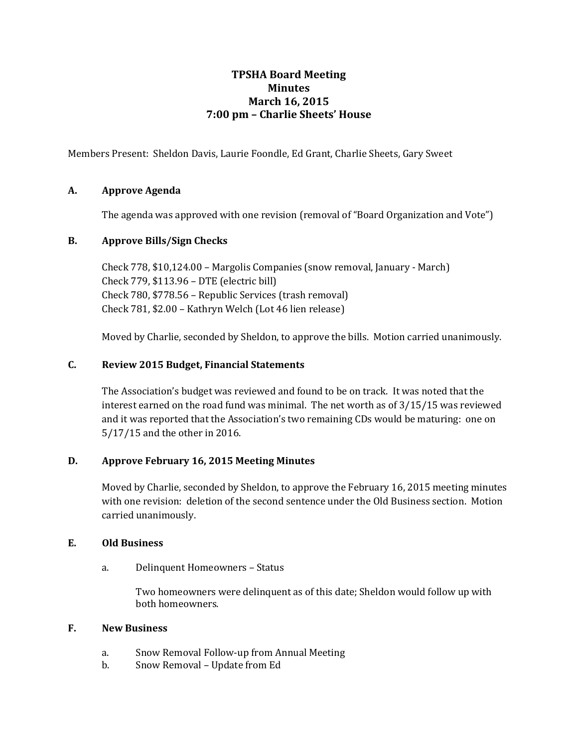### **TPSHA Board Meeting Minutes March 16, 2015 7:00 pm – Charlie Sheets' House**

Members Present: Sheldon Davis, Laurie Foondle, Ed Grant, Charlie Sheets, Gary Sweet

#### **A. Approve Agenda**

The agenda was approved with one revision (removal of "Board Organization and Vote")

#### **B. Approve Bills/Sign Checks**

Check 778, \$10,124.00 – Margolis Companies (snow removal, January - March) Check 779, \$113.96 – DTE (electric bill) Check 780, \$778.56 – Republic Services (trash removal) Check 781, \$2.00 – Kathryn Welch (Lot 46 lien release)

Moved by Charlie, seconded by Sheldon, to approve the bills. Motion carried unanimously.

#### **C. Review 2015 Budget, Financial Statements**

The Association's budget was reviewed and found to be on track. It was noted that the interest earned on the road fund was minimal. The net worth as of 3/15/15 was reviewed and it was reported that the Association's two remaining CDs would be maturing: one on 5/17/15 and the other in 2016.

#### **D. Approve February 16, 2015 Meeting Minutes**

Moved by Charlie, seconded by Sheldon, to approve the February 16, 2015 meeting minutes with one revision: deletion of the second sentence under the Old Business section. Motion carried unanimously.

#### **E. Old Business**

a. Delinquent Homeowners – Status

Two homeowners were delinquent as of this date; Sheldon would follow up with both homeowners.

#### **F. New Business**

- a. Snow Removal Follow-up from Annual Meeting
- b. Snow Removal Update from Ed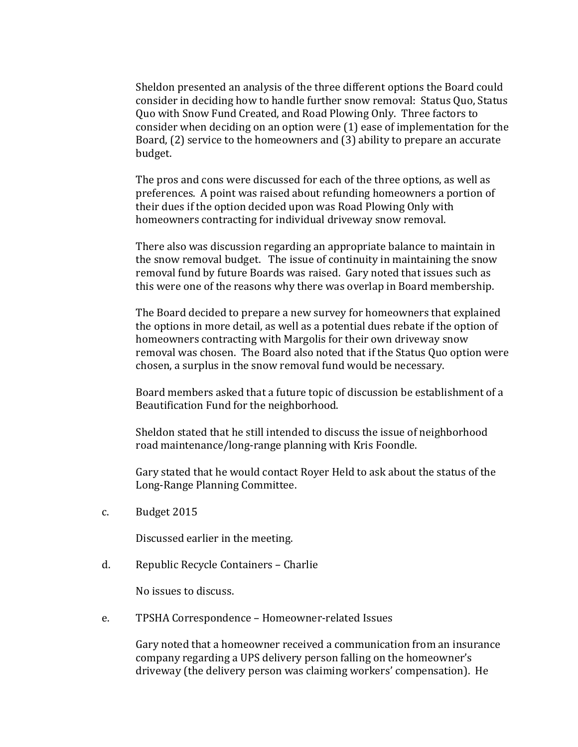Sheldon presented an analysis of the three different options the Board could consider in deciding how to handle further snow removal: Status Quo, Status Quo with Snow Fund Created, and Road Plowing Only. Three factors to consider when deciding on an option were (1) ease of implementation for the Board, (2) service to the homeowners and (3) ability to prepare an accurate budget.

The pros and cons were discussed for each of the three options, as well as preferences. A point was raised about refunding homeowners a portion of their dues if the option decided upon was Road Plowing Only with homeowners contracting for individual driveway snow removal.

There also was discussion regarding an appropriate balance to maintain in the snow removal budget. The issue of continuity in maintaining the snow removal fund by future Boards was raised. Gary noted that issues such as this were one of the reasons why there was overlap in Board membership.

The Board decided to prepare a new survey for homeowners that explained the options in more detail, as well as a potential dues rebate if the option of homeowners contracting with Margolis for their own driveway snow removal was chosen. The Board also noted that if the Status Quo option were chosen, a surplus in the snow removal fund would be necessary.

Board members asked that a future topic of discussion be establishment of a Beautification Fund for the neighborhood.

Sheldon stated that he still intended to discuss the issue of neighborhood road maintenance/long-range planning with Kris Foondle.

Gary stated that he would contact Royer Held to ask about the status of the Long-Range Planning Committee.

c. Budget 2015

Discussed earlier in the meeting.

d. Republic Recycle Containers – Charlie

No issues to discuss.

e. TPSHA Correspondence – Homeowner-related Issues

Gary noted that a homeowner received a communication from an insurance company regarding a UPS delivery person falling on the homeowner's driveway (the delivery person was claiming workers' compensation). He